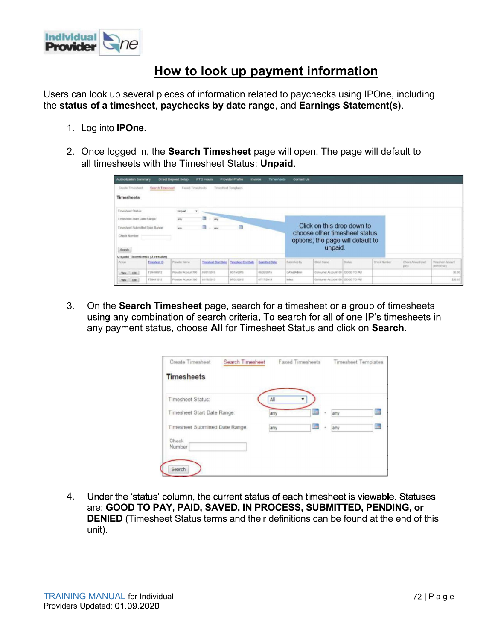

## How to look up payment information

- 
- all timesheets with the Timesheet Status: Unpaid.

| Individua |                                                                                             |                                                              |                                                          |      |                                     |              |             |                                                                    |              |                           |                                   |
|-----------|---------------------------------------------------------------------------------------------|--------------------------------------------------------------|----------------------------------------------------------|------|-------------------------------------|--------------|-------------|--------------------------------------------------------------------|--------------|---------------------------|-----------------------------------|
|           |                                                                                             |                                                              |                                                          |      |                                     |              |             |                                                                    |              |                           |                                   |
|           |                                                                                             | How to look up payment information                           |                                                          |      |                                     |              |             |                                                                    |              |                           |                                   |
|           |                                                                                             |                                                              |                                                          |      |                                     |              |             |                                                                    |              |                           |                                   |
|           | Users can look up several pieces of information related to paychecks using IPOne, including |                                                              |                                                          |      |                                     |              |             |                                                                    |              |                           |                                   |
|           |                                                                                             |                                                              |                                                          |      |                                     |              |             |                                                                    |              |                           |                                   |
|           | the status of a timesheet, paychecks by date range, and Earnings Statement(s).              |                                                              |                                                          |      |                                     |              |             |                                                                    |              |                           |                                   |
|           | Log into <b>IPOne</b> .                                                                     |                                                              |                                                          |      |                                     |              |             |                                                                    |              |                           |                                   |
|           |                                                                                             |                                                              |                                                          |      |                                     |              |             |                                                                    |              |                           |                                   |
|           | Once logged in, the Search Timesheet page will open. The page will default to               |                                                              |                                                          |      |                                     |              |             |                                                                    |              |                           |                                   |
|           | all timesheets with the Timesheet Status: Unpaid.                                           |                                                              |                                                          |      |                                     |              |             |                                                                    |              |                           |                                   |
|           | <b>Withorization Summary</b><br>Croole Timinheet                                            | Direct Deposit Setup<br>Search Timesheet<br>Faxed Timeshoots | <b>PTO HOURS</b><br>Timesheet Templates                  |      | Provider Profile Invoice Timesheets | Contact Us   |             |                                                                    |              |                           |                                   |
|           | <b>Timesheets</b>                                                                           |                                                              |                                                          |      |                                     |              |             |                                                                    |              |                           |                                   |
|           | <b>Timesheet Status</b>                                                                     |                                                              |                                                          |      |                                     |              |             |                                                                    |              |                           |                                   |
|           | Timesheet Start Date Range<br>Timesheet Submitted Date Range                                |                                                              |                                                          | ill. |                                     |              |             | Click on this drop down to                                         |              |                           |                                   |
| 1.        | Check Number                                                                                |                                                              |                                                          |      |                                     |              |             | choose other timesheet status<br>options; the page will default to |              |                           |                                   |
|           | Search                                                                                      |                                                              |                                                          |      |                                     |              | unpaid.     |                                                                    |              |                           |                                   |
| 2.        | Unpaid Timesheets (2 results)<br>Action<br>Timosheet ID                                     | Provider Name                                                | Timesheet Start Date Timesheet End Date   Submitted Date |      |                                     | Subrothed By | Client Name | <b>Status</b>                                                      | Check Number | Check Amount Joet<br>pay) | Timeshingt Amount<br>(before tax) |

| Timesheet Status:<br>in.<br><b>The</b><br>Timesheet Start Date Range:<br>any<br>any<br><b>in</b><br>il av<br>Timesheet Submitted Date Range:<br>any<br>any<br>$\sim$<br>Check<br>Number<br>Searc<br>Under the 'status' column, the current status of each timesheet is viewable. Statuses<br>4.<br>are: GOOD TO PAY, PAID, SAVED, IN PROCESS, SUBMITTED, PENDING, or<br><b>DENIED</b> (Timesheet Status terms and their definitions can be found at the end of this<br>unit). |
|-------------------------------------------------------------------------------------------------------------------------------------------------------------------------------------------------------------------------------------------------------------------------------------------------------------------------------------------------------------------------------------------------------------------------------------------------------------------------------|
|                                                                                                                                                                                                                                                                                                                                                                                                                                                                               |
|                                                                                                                                                                                                                                                                                                                                                                                                                                                                               |
|                                                                                                                                                                                                                                                                                                                                                                                                                                                                               |
|                                                                                                                                                                                                                                                                                                                                                                                                                                                                               |
|                                                                                                                                                                                                                                                                                                                                                                                                                                                                               |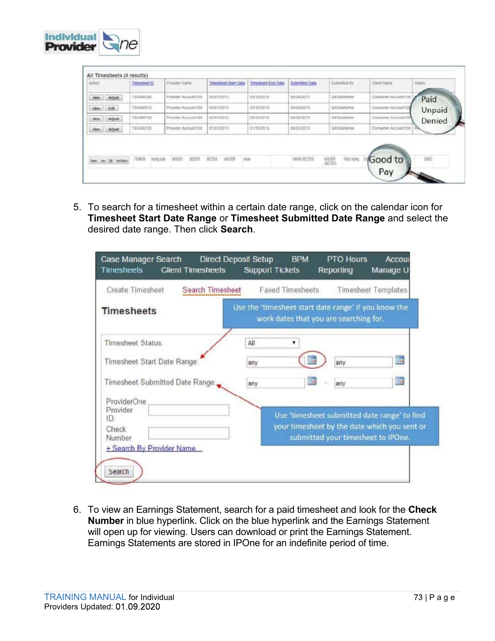

|             | All Timesheets (4 results)           |                                  |                      |                             |                    |                |                                          |                     |               |
|-------------|--------------------------------------|----------------------------------|----------------------|-----------------------------|--------------------|----------------|------------------------------------------|---------------------|---------------|
| Action      |                                      | Timesheet @                      | Provider Name        | <b>Timesheet Start Date</b> | Timesheet End Date | Submitted Date | Submitted By                             | Client Name         | <b>Status</b> |
| View.       | Adjust                               | TS0490740                        | Provider Account100  | 03/01/2015                  | 03/15/2015         | 06/26/2015     | QATestAdmin                              | Consumer Account100 | Paid          |
| <b>View</b> | Edit                                 | TS0490912                        | Provider Account100  | 03/01/2015                  | 03/15/2015         | 06/26/2015     | QATestAgmin                              | Consumer Account10  | Unpaid        |
| Vew.        | Adjust                               | TS0490739                        | Provider Account100  | 02/01/2015                  | 02/15/2015         | 06/26/2015     | <b>GATestAdmin</b>                       | Consumer Account100 | Denied        |
| Vew.        | Adjust                               | TS0490725                        | Provider Account 100 | 01/01/2015                  | 01/15/2015         | 06/25/2015     | QATestAdmin                              | Consumer Account100 |               |
|             | <b>Review View Edit Perdirectors</b> | <b>TS00076</b><br>Husting Justin | 8/03/5<br>357075     | inlan<br>80705<br>WSSR      |                    | YANAH (BOTZIS) | <b>Patro Hating</b><br>WORKER<br>INGCOMM | Good to<br>Pay      | 1/852         |

|                                                                                                                                                                                                                                                                                                                                                  | <b>Faxed Timesheets</b><br><b>Timesheet Templates</b>                                                                              |  |
|--------------------------------------------------------------------------------------------------------------------------------------------------------------------------------------------------------------------------------------------------------------------------------------------------------------------------------------------------|------------------------------------------------------------------------------------------------------------------------------------|--|
| <b>Timesheets</b>                                                                                                                                                                                                                                                                                                                                | Use the 'timesheet start date range' if you know the<br>work dates that you are searching for.                                     |  |
| <b>Timesheet Status:</b><br>All<br>Timesheet Start Date Range:<br>any<br>Timesheet Submitted Date Range:<br>any<br>ProviderOne                                                                                                                                                                                                                   | hm i<br>any<br><b>THE</b><br>any                                                                                                   |  |
| Provider<br>ID:<br>Check<br>Number<br>+ Search By Provider Name                                                                                                                                                                                                                                                                                  | Use 'timesheet submitted date range' to find<br>your timesheet by the date which you sent or<br>submitted your timesheet to IPOne. |  |
| Search<br>6. To view an Earnings Statement, search for a paid timesheet and look for the Check<br>Number in blue hyperlink. Click on the blue hyperlink and the Earnings Statement<br>will open up for viewing. Users can download or print the Earnings Statement.<br>Earnings Statements are stored in IPOne for an indefinite period of time. |                                                                                                                                    |  |
|                                                                                                                                                                                                                                                                                                                                                  |                                                                                                                                    |  |